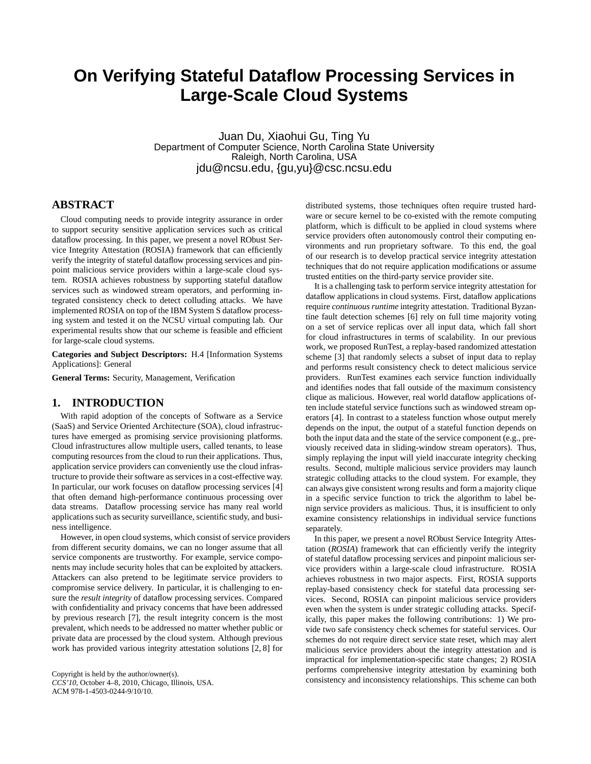# **On Verifying Stateful Dataflow Processing Services in Large-Scale Cloud Systems**

Juan Du, Xiaohui Gu, Ting Yu Department of Computer Science, North Carolina State University Raleigh, North Carolina, USA jdu@ncsu.edu, {gu,yu}@csc.ncsu.edu

# **ABSTRACT**

Cloud computing needs to provide integrity assurance in order to support security sensitive application services such as critical dataflow processing. In this paper, we present a novel RObust Service Integrity Attestation (ROSIA) framework that can efficiently verify the integrity of stateful dataflow processing services and pinpoint malicious service providers within a large-scale cloud system. ROSIA achieves robustness by supporting stateful dataflow services such as windowed stream operators, and performing integrated consistency check to detect colluding attacks. We have implemented ROSIA on top of the IBM System S dataflow processing system and tested it on the NCSU virtual computing lab. Our experimental results show that our scheme is feasible and efficient for large-scale cloud systems.

**Categories and Subject Descriptors:** H.4 [Information Systems Applications]: General

**General Terms:** Security, Management, Verification

## **1. INTRODUCTION**

With rapid adoption of the concepts of Software as a Service (SaaS) and Service Oriented Architecture (SOA), cloud infrastructures have emerged as promising service provisioning platforms. Cloud infrastructures allow multiple users, called tenants, to lease computing resources from the cloud to run their applications. Thus, application service providers can conveniently use the cloud infrastructure to provide their software as services in a cost-effective way. In particular, our work focuses on dataflow processing services [4] that often demand high-performance continuous processing over data streams. Dataflow processing service has many real world applications such as security surveillance, scientific study, and business intelligence.

However, in open cloud systems, which consist of service providers from different security domains, we can no longer assume that all service components are trustworthy. For example, service components may include security holes that can be exploited by attackers. Attackers can also pretend to be legitimate service providers to compromise service delivery. In particular, it is challenging to ensure the *result integrity* of dataflow processing services. Compared with confidentiality and privacy concerns that have been addressed by previous research [7], the result integrity concern is the most prevalent, which needs to be addressed no matter whether public or private data are processed by the cloud system. Although previous work has provided various integrity attestation solutions [2, 8] for

Copyright is held by the author/owner(s). *CCS'10,* October 4–8, 2010, Chicago, Illinois, USA. ACM 978-1-4503-0244-9/10/10.

distributed systems, those techniques often require trusted hardware or secure kernel to be co-existed with the remote computing platform, which is difficult to be applied in cloud systems where service providers often autonomously control their computing environments and run proprietary software. To this end, the goal of our research is to develop practical service integrity attestation techniques that do not require application modifications or assume trusted entities on the third-party service provider site.

It is a challenging task to perform service integrity attestation for dataflow applications in cloud systems. First, dataflow applications require *continuous runtime* integrity attestation. Traditional Byzantine fault detection schemes [6] rely on full time majority voting on a set of service replicas over all input data, which fall short for cloud infrastructures in terms of scalability. In our previous work, we proposed RunTest, a replay-based randomized attestation scheme [3] that randomly selects a subset of input data to replay and performs result consistency check to detect malicious service providers. RunTest examines each service function individually and identifies nodes that fall outside of the maximum consistency clique as malicious. However, real world dataflow applications often include stateful service functions such as windowed stream operators [4]. In contrast to a stateless function whose output merely depends on the input, the output of a stateful function depends on both the input data and the state of the service component (e.g., previously received data in sliding-window stream operators). Thus, simply replaying the input will yield inaccurate integrity checking results. Second, multiple malicious service providers may launch strategic colluding attacks to the cloud system. For example, they can always give consistent wrong results and form a majority clique in a specific service function to trick the algorithm to label benign service providers as malicious. Thus, it is insufficient to only examine consistency relationships in individual service functions separately.

In this paper, we present a novel RObust Service Integrity Attestation (*ROSIA*) framework that can efficiently verify the integrity of stateful dataflow processing services and pinpoint malicious service providers within a large-scale cloud infrastructure. ROSIA achieves robustness in two major aspects. First, ROSIA supports replay-based consistency check for stateful data processing services. Second, ROSIA can pinpoint malicious service providers even when the system is under strategic colluding attacks. Specifically, this paper makes the following contributions: 1) We provide two safe consistency check schemes for stateful services. Our schemes do not require direct service state reset, which may alert malicious service providers about the integrity attestation and is impractical for implementation-specific state changes; 2) ROSIA performs comprehensive integrity attestation by examining both consistency and inconsistency relationships. This scheme can both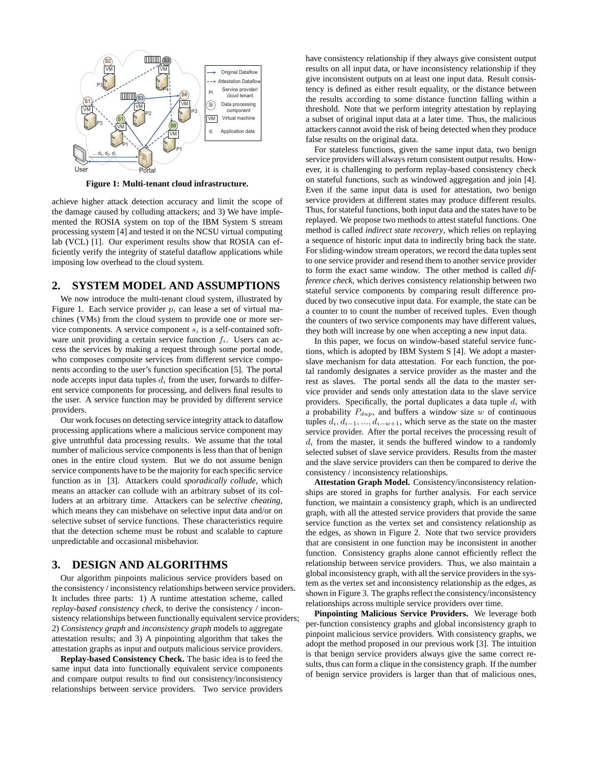

**Figure 1: Multi-tenant cloud infrastructure.**

achieve higher attack detection accuracy and limit the scope of the damage caused by colluding attackers; and 3) We have implemented the ROSIA system on top of the IBM System S stream processing system [4] and tested it on the NCSU virtual computing lab (VCL) [1]. Our experiment results show that ROSIA can efficiently verify the integrity of stateful dataflow applications while imposing low overhead to the cloud system.

#### **2. SYSTEM MODEL AND ASSUMPTIONS**

We now introduce the multi-tenant cloud system, illustrated by Figure 1. Each service provider  $p_i$  can lease a set of virtual machines (VMs) from the cloud system to provide one or more service components. A service component  $s_i$  is a self-contained software unit providing a certain service function  $f_i$ . Users can access the services by making a request through some portal node, who composes composite services from different service components according to the user's function specification [5]. The portal node accepts input data tuples  $d_i$  from the user, forwards to different service components for processing, and delivers final results to the user. A service function may be provided by different service providers.

Our work focuses on detecting service integrity attack to dataflow processing applications where a malicious service component may give untruthful data processing results. We assume that the total number of malicious service components is less than that of benign ones in the entire cloud system. But we do not assume benign service components have to be the majority for each specific service function as in [3]. Attackers could *sporadically collude*, which means an attacker can collude with an arbitrary subset of its colluders at an arbitrary time. Attackers can be *selective cheating*, which means they can misbehave on selective input data and/or on selective subset of service functions. These characteristics require that the detection scheme must be robust and scalable to capture unpredictable and occasional misbehavior.

# **3. DESIGN AND ALGORITHMS**

Our algorithm pinpoints malicious service providers based on the consistency / inconsistency relationships between service providers. It includes three parts: 1) A runtime attestation scheme, called *replay-based consistency check*, to derive the consistency / inconsistency relationships between functionally equivalent service providers; 2) *Consistency graph* and *inconsistency graph* models to aggregate attestation results; and 3) A pinpointing algorithm that takes the attestation graphs as input and outputs malicious service providers.

**Replay-based Consistency Check.** The basic idea is to feed the same input data into functionally equivalent service components and compare output results to find out consistency/inconsistency relationships between service providers. Two service providers

have consistency relationship if they always give consistent output results on all input data, or have inconsistency relationship if they give inconsistent outputs on at least one input data. Result consistency is defined as either result equality, or the distance between the results according to some distance function falling within a threshold. Note that we perform integrity attestation by replaying a subset of original input data at a later time. Thus, the malicious attackers cannot avoid the risk of being detected when they produce false results on the original data.

For stateless functions, given the same input data, two benign service providers will always return consistent output results. However, it is challenging to perform replay-based consistency check on stateful functions, such as windowed aggregation and join [4]. Even if the same input data is used for attestation, two benign service providers at different states may produce different results. Thus, for stateful functions, both input data and the states have to be replayed. We propose two methods to attest stateful functions. One method is called *indirect state recovery*, which relies on replaying a sequence of historic input data to indirectly bring back the state. For sliding-window stream operators, we record the data tuples sent to one service provider and resend them to another service provider to form the exact same window. The other method is called *difference check*, which derives consistency relationship between two stateful service components by comparing result difference produced by two consecutive input data. For example, the state can be a counter to to count the number of received tuples. Even though the counters of two service components may have different values, they both will increase by one when accepting a new input data.

In this paper, we focus on window-based stateful service functions, which is adopted by IBM System S [4]. We adopt a masterslave mechanism for data attestation. For each function, the portal randomly designates a service provider as the master and the rest as slaves. The portal sends all the data to the master service provider and sends only attestation data to the slave service providers. Specifically, the portal duplicates a data tuple  $d_i$  with a probability  $P_{dup}$ , and buffers a window size w of continuous tuples  $d_i, d_{i-1}, \ldots, d_{i-w+1}$ , which serve as the state on the master service provider. After the portal receives the processing result of  $d_i$  from the master, it sends the buffered window to a randomly selected subset of slave service providers. Results from the master and the slave service providers can then be compared to derive the consistency / inconsistency relationships.

**Attestation Graph Model.** Consistency/inconsistency relationships are stored in graphs for further analysis. For each service function, we maintain a consistency graph, which is an undirected graph, with all the attested service providers that provide the same service function as the vertex set and consistency relationship as the edges, as shown in Figure 2. Note that two service providers that are consistent in one function may be inconsistent in another function. Consistency graphs alone cannot efficiently reflect the relationship between service providers. Thus, we also maintain a global inconsistency graph, with all the service providers in the system as the vertex set and inconsistency relationship as the edges, as shown in Figure 3. The graphs reflect the consistency/inconsistency relationships across multiple service providers over time.

**Pinpointing Malicious Service Providers.** We leverage both per-function consistency graphs and global inconsistency graph to pinpoint malicious service providers. With consistency graphs, we adopt the method proposed in our previous work [3]. The intuition is that benign service providers always give the same correct results, thus can form a clique in the consistency graph. If the number of benign service providers is larger than that of malicious ones,